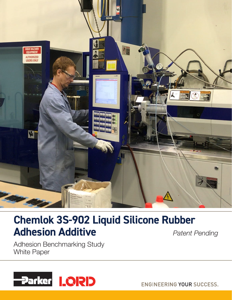

# **Chemlok 3S-902 Liquid Silicone Rubber Adhesion Additive**

*Patent Pending*

Adhesion Benchmarking Study White Paper



**ENGINEERING YOUR SUCCESS.**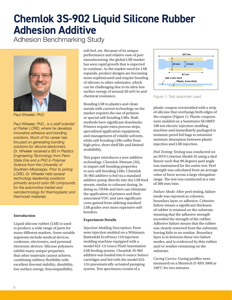# **Chemlok 3S-902 Liquid Silicone Rubber Adhesion Additive**

Adhesion Benchmarking Study



*Paul Wheeler, PhD.*

*Paul Wheeler, PhD., is a staff scientist at Parker LORD, where he develops innovative adhesive and bonding solutions. Much of his career has focused on generating bonding solutions for silicone elastomers. Dr. Wheeler received a BS in Plastics Engineering Technology from Penn State Erie and a PhD in Polymer Science from the University of Southern Mississippi. Prior to joining LORD, Dr. Wheeler held several technology leadership positions primarily around nylon 66 compounds for the automotive market and nanotechnology for thermoplastic and thermoset materials.*

## **Introduction**

Liquid silicone rubber (LSR) is used to produce a wide range of parts for many different markets. Some notable segments include medical devices, cookware, electronics, and personal electronic devices. Silicone polymers exhibit many unique properties that other materials cannot achieve, combining rubbery flexibility with excellent thermal stability, durability, low surface energy, biocompatibility,

soft feel, etc. Because of its unique performance and relative ease of part manufacturing, the global LSR market has seen rapid growth that is expected to continue. As the market need for LSR expands, product designs are becoming more sophisticated and require bonding of silicone to other substrates, which can be challenging due to its ultra-low surface energy of around 20 mN/m and chemical resistance.

Bonding LSR to plastics and clean metals with current technology on the market requires the use of primers or special self-bonding LSRs. Both methods have significant drawbacks. Primers require extra process steps, specialized application equipment, and management of volatile solvents, while self-bonding LSRs suffer from high price, short shelf life and limited availability.

This paper introduces a new additive technology, Chemlok 3Stream (3S), to impart self-bonding properties to non-self-bonding LSRs. Chemlok 3S-902 additive is fed via a standard additive pump directly into the LSR feed stream, similar to colorant dosing. In doing so, OEMs and tiers can eliminate the application of primers and their associated VOC and save significant costs gained from utilizing standard LSR grades over more expensive selfbonders.

# **Experiment Details**

*Injection Molding Description*: Parts were injection molded on a Wittmann Battenfeld EcoPower 110 injection molding machine equipped with a model 622-1A Graco Fluid Automation LSR feeding system. Chemlok 3S-902 additive was loaded into 6-ounce Semco cartridges and fed with the model 622- 1A's pneumatically-actuated pumping system. Test specimens consist of a



Figure 1: Test specimen used

plastic coupon overmolded with a strip of silicone that overhangs both edges of the coupon (Figure 1). Plastic coupons were molded on a Sumitomo SE100EV 100 ton electric injection-molding machine and immediately packaged in moisture-proof foil bags to minimize moisture absorption between plastic injection and LSR injection.

*Peel Testing*: Testing was conducted on an MTS Criterion Model 45 using a sled fixture such that 90 degrees peel angle was maintained for the entire test. Peel strength was calculated from an average value of force across a large elongation range. The test was conducted at a rate of 300 mm/min.

*Failure Mode*: After peel testing, failure mode was reported as cohesive, boundary layer, or adhesive. Cohesive failure means a significant thickness of rubber is retained on the substrate, meaning that the adhesive strength exceeded the strength of the rubber. Adhesive failure means that the rubber was cleanly removed from the substrate, leaving little to no residue. Boundary layer is in between these two failure modes, and is evidenced by thin rubber and/or residue remaining on the substrate.

*Curing Curves*: Curing profiles were measured on a Montech D-RPA 3000 at 160°C for two minutes.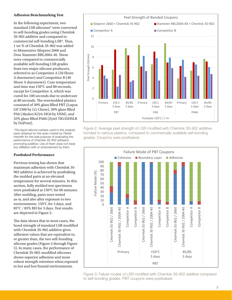## **Adhesion Benchmarking Test**

In the following experiment, two standard LSR silicones\* were converted to self-bonding grades using Chemlok 3S-902 additive and compared to commercial self-bonding LSR\*. Thus, 1 wt-% of Chemlok 3S-902 was added to Momentive Silopren 2660 and Dow Xiameter RBL2004-40. These were compared to commercially available self-bonding LSR grades from two major silicone producers, referred to as Competitor A (50 Shore A durometer) and Competitor B (40 Shore A durometer). Cure temperature and time was 150°C and 80 seconds, except for Competitor A, which was cured for 100 seconds due to undercure at 80 seconds. The overmolded plastics consisted of 30% glass filled PBT (Lupox GP 2300 by LG Chem), 30% glass filled PA6 (Akulon K224-HG6 by DSM), and 35% glass filled PA66 (Zytel 70G35HSLR by DuPont).

*\*The liquid silicone rubbers used in this analysis were obtained on the open market by Parker Hannifin for the sole purpose of evaluating the performance of Chemlok 3S-902 adhesion promoting additive. Use of them does not imply any affiliation with or endorsement by them.*

#### **Postbaked Performance**

Previous testing has shown that maximum adhesion with Chemlok 3S-902 additive is achieved by postbaking the molded parts at an elevated temperature for several minutes. In this section, fully molded test specimens were postbaked at 150°C for 60 minutes. After molding, parts were tested as-is, and also after exposure to two environments: 150°C for 3 days, and 85°C / 85% RH for 3 days. Test results are depicted in Figure 2.

The data shows that in most cases, the bond strength of standard LSR modified with Chemlok 3S-902 additive gives adhesion values that are equivalent to, or greater than, the two self-bonding silicone grades (Figure 2 through Figure 5). In many cases, the performance of Chemlok 3S-902-modified silicones shows superior adhesion and more robust strength retention when exposed to hot and hot/humid environments.



Figure 2: Average peel strength of LSR modified with Chemlok 3S-902 additive, bonded to various plastics, compared to commercially available self-bonding grades. Coupons were postbaked.



Figure 3: Failure modes of LSR modified with Chemlok 3S-902 additive compared to self-bonding grades. PBT coupons were postbaked.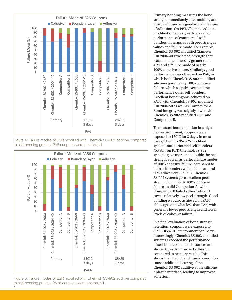

Figure 4: Failure modes of LSR modified with Chemlok 3S-902 additive compared to self-bonding grades. PA6 coupons were postbaked.



Figure 5: Failure modes of LSR modified with Chemlok 3S-902 additive compared to self-bonding grades. PA66 coupons were postbaked.

Primary bonding measures the bond strength immediately after molding and postbaking and is a good initial measure of adhesion. On PBT, Chemlok 3S-902 modified silicones greatly exceeded performance of commercial selfbonders, in terms of both peel strength values and failure mode. For example, Chemlok 3S-902-modified Xiameter RBL2004-40 gave a peel strength that exceeded the others by greater than 45% and a failure mode of nearly 100% cohesive failure. Similarly, good performance was observed on PA6, in which both Chemlok 3S-902-modified silicones gave nearly 100% cohesive failure, which slightly exceeded the performance other self-bonders. Excellent bonding was achieved on PA66 with Chemlok 3S-902-modified RBL2004-50 as well as Competitor A. Bond integrity was slightly lower with Chemlok 3S-902-modified 2660 and Competitor B.

To measure bond retention in a high heat environment, coupons were exposed to 150°C for 3 days. In most cases, Chemlok 3S-902-modified systems out-performed self-bonders. Notably on PBT, Chemlok 3S-902 systems gave more than double the peel strength as well as perfect failure modes of 100% cohesive failure, compared to both self-bonders which failed around 90% adhesively. On PA6, Chemlok 3S-902 systems gave excellent peel strength with nearly 100% cohesive failure, as did Competitor A, while Competitor B failed adhesively and gave a relatively low peel strength. Good bonding was also achieved on PA66, although somewhat less than PA6, with generally lower peel strength and lower levels of cohesive failure.

In a final evaluation of bond strength retention, coupons were exposed to 85°C / 85% RH environment for 3 days. Interestingly, Chemlok 3S-902-modified systems exceeded the performance of self-bonders in most instances and showed greatly improved adhesion compared to primary results. This shows that the hot and humid condition causes additional curing of the Chemlok 3S-902 additive at the silicone / plastic interface, leading to improved adhesion.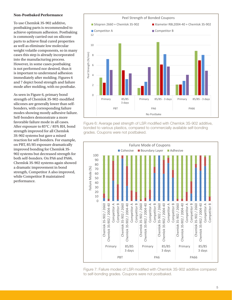#### **Non-Postbaked Performance**

To use Chemlok 3S-902 additive, postbaking parts is recommended to achieve optimum adhesion. Postbaking is commonly carried out on silicone parts to achieve final cured properties as well as eliminate low molecular weight volatile components, so in many cases this step is already incorporated into the manufacturing process. However, in some cases postbaking is not performed nor desired, thus it is important to understand adhesion immediately after molding. Figures 6 and 7 depict bond strength and failure mode after molding, with no postbake.

As seen in Figure 6, primary bond strength of Chemlok 3S-902-modified silicones are generally lower than selfbonders, with corresponding failure modes showing mostly adhesive failure. Self-bonders demonstrate a more favorable failure mode in all cases. After exposure to 85°C / 85% RH, bond strength improved for all Chemlok 3S-902 systems but gave a mixed reaction for self-bonders. For example, on PBT, 85/85 exposure dramatically improved bonding for Chemlok 3S-902 systems but decreased strength for both self-bonders. On PA6 and PA66, Chemlok 3S-902 systems again showed a dramatic improvement in bond strength, Competitor A also improved, while Competitor B maintained performance.



Figure 6: Average peel strength of LSR modified with Chemlok 3S-902 additive, bonded to various plastics, compared to commercially available self-bonding grades. Coupons were not postbaked.



Figure 7: Failure modes of LSR modified with Chemlok 3S-902 additive compared to self-bonding grades. Coupons were not postbaked.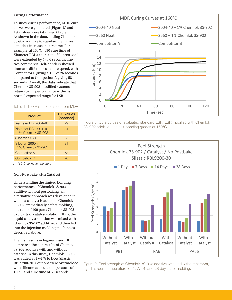## **Curing Performance**

To study curing performance, MDR cure curves were generated (Figure 8) and T90 values were tabulated (Table 1). As shown in the data, adding Chemlok 3S-902 additive to standard LSR gives a modest increase in cure time. For example, at 160°C, T90 cure time of Xiameter RBL2004-40 and Silopren 2660 were extended by 5 to 6 seconds. The two commercial self-bonders showed dramatic differences in cure speed, with Competitor B giving a T90 of 26 seconds compared to Competitor A giving 58 seconds. Overall, the data indicate that Chemlok 3S-902-modified systems retain curing performance within a normal expected range for LSR.

## Table 1: T90 Values obtained from MDR

| <b>Product</b>                             | <b>T90 Values</b><br>(seconds) |
|--------------------------------------------|--------------------------------|
| Xiameter RBL2004-40                        | 29                             |
| Xiameter RBL2004-40 +<br>1% Chemlok 3S-902 | 34                             |
| Silopren 2660                              | 25                             |
| Silopren 2660 +<br>1% Chemlok 3S-902       | 31                             |
| <b>Competitor A</b>                        | 58                             |
| <b>Competitor B</b>                        |                                |

*At 160°C curing temperature*

#### **Non-Postbake with Catalyst**

Understanding the limited bonding performance of Chemlok 3S-902 additive without postbaking, an alternative approach was developed in which a catalyst is added to Chemlok 3S-902, immediately before molding, at a ratio of 100 parts Chemlok 3S-902 to 5 parts of catalyst solution. Thus, the liquid catalyst solution was mixed with Chemlok 3S-902 additive, and then fed into the injection molding machine as described above.

The first results in Figures 9 and 10 compare adhesion results of Chemlok 3S-902 additive with and without catalyst. In this study, Chemlok 3S-902 was added at 1 wt-% to Dow Silastic RBL9200-30. Coupons were overmolded with silicone at a cure temperature of 160°C and cure time of 60 seconds.



Figure 8: Cure curves of evaluated standard LSR, LSR modified with Chemlok 3S-902 additive, and self-bonding grades at 160°C.



Figure 9: Peel strength of Chemlok 3S-902 additive with and without catalyst, aged at room temperature for 1, 7, 14, and 28 days after molding.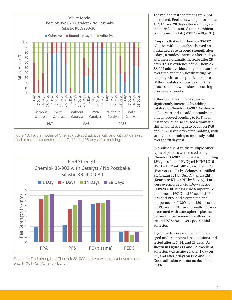

Figure 10: Failure modes of Chemlok 3S-902 additive with and without catalyst, aged at room temperature for 1, 7, 14, and 28 days after molding.





The molded test specimens were not postbaked. Peel tests were performed at 1, 7, 14, and 28 days after molding with the parts being stored under ambient conditions in a lab ( $\sim$ 20°C /  $\sim$ 40% RH).

Coupons that used Chemlok 3S-902 additive without catalyst showed an initial decrease in bond strength after 7 days, a modest increase after 14 days, and then a dramatic increase after 28 days. This is evidence of the Chemlok 3S-902 additive blooming to the surface over time and then slowly curing by reacting with atmospheric moisture. Without catalyst or postbaking, this process is somewhat slow, occurring over several weeks.

Adhesion development speed is significantly increased by adding catalyst to Chemlok 3S-902. As shown in Figures 9 and 10, adding catalyst not only improved bonding to PBT in all instances, but also caused a dramatic shift in bond strength to occur on PA6 and PA66 seven days after molding, with strength continuing to modestly build over the 28 day test.

In a subsequent study, multiple other types of plastics were tested using Chemlok 3S-902 with catalyst, including 15% glass filled PPA (Zytel HTN51G15 HSL by DuPont), 40% glass filled PPS (Fortron 1140L4 by Celanese), unfilled PC (Lexan 121 by SABIC), and PEEK (Ketaspire KT-880NT by Solvay). Parts were overmolded with Dow Silastic RLB9200-30 using a cure temperature and time of 160°C and 60 seconds for PPA and PPS, and a cure time and temperature of 130°C and 120 seconds for PC and PEEK. Additionally, PC was pretreated with atmospheric plasma because initial screening with nontreated PC showed very poor initial adhesion.

Again, parts were molded and then aged under ambient lab conditions and tested after 1, 7, 14, and 28 days. As shown in Figures 11 and 12, excellent adhesion was achieved after 1 day on PC, and after 7 days on PPA and PPS. Good adhesion was not achieved on PEEK.